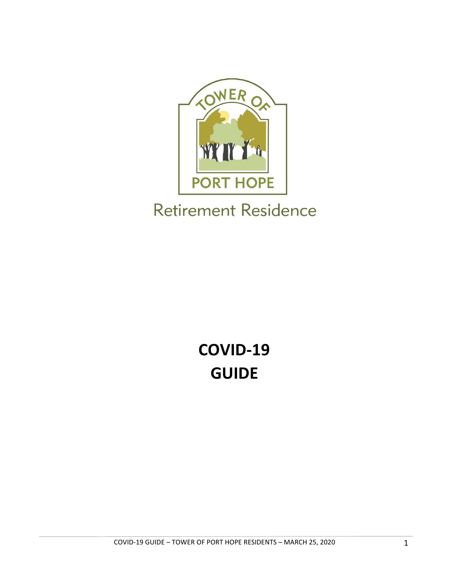

## **Retirement Residence**

# **COVID‐19 GUIDE**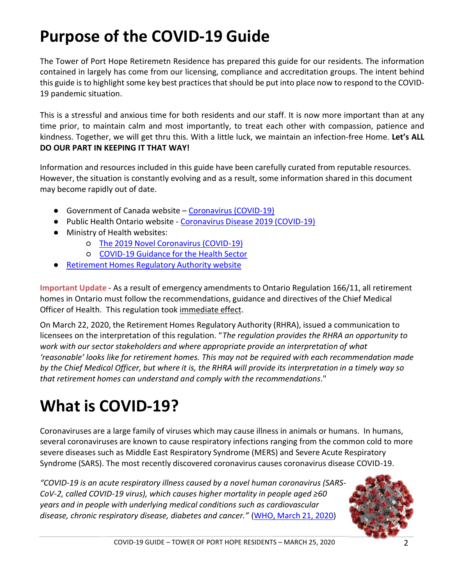# **Purpose of the COVID‐19 Guide**

The Tower of Port Hope Retiremetn Residence has prepared this guide for our residents. The information contained in largely has come from our licensing, compliance and accreditation groups. The intent behind this guide is to highlight some key best practices that should be put into place now to respond to the COVID‐ 19 pandemic situation.

This is a stressful and anxious time for both residents and our staff. It is now more important than at any time prior, to maintain calm and most importantly, to treat each other with compassion, patience and kindness. Together, we will get thru this. With a little luck, we maintain an infection‐free Home. **Let's ALL DO OUR PART IN KEEPING IT THAT WAY!** 

Information and resources included in this guide have been carefully curated from reputable resources. However, the situation is constantly evolving and as a result, some information shared in this document may become rapidly out of date.

- Government of Canada website Coronavirus (COVID-19)
- Public Health Ontario website Coronavirus Disease 2019 (COVID-19)
- Ministry of Health websites:
	- The 2019 Novel Coronavirus (COVID‐19)
	- COVID‐19 Guidance for the Health Sector
- Retirement Homes Regulatory Authority website

**Important Update** ‐ As a result of emergency amendments to Ontario Regulation 166/11, all retirement homes in Ontario must follow the recommendations, guidance and directives of the Chief Medical Officer of Health. This regulation took immediate effect.

On March 22, 2020, the Retirement Homes Regulatory Authority (RHRA), issued a communication to licensees on the interpretation of this regulation. "*The regulation provides the RHRA an opportunity to work with our sector stakeholders and where appropriate provide an interpretation of what 'reasonable' looks like for retirement homes. This may not be required with each recommendation made by the Chief Medical Officer, but where it is, the RHRA will provide its interpretation in a timely way so that retirement homes can understand and comply with the recommendations*."

## **What is COVID‐19?**

Coronaviruses are a large family of viruses which may cause illness in animals or humans. In humans, several coronaviruses are known to cause respiratory infections ranging from the common cold to more severe diseases such as Middle East Respiratory Syndrome (MERS) and Severe Acute Respiratory Syndrome (SARS). The most recently discovered coronavirus causes coronavirus disease COVID‐19.

*"COVID‐19 is an acute respiratory illness caused by a novel human coronavirus (SARS‐ CoV‐2, called COVID‐19 virus), which causes higher mortality in people aged ≥60 years and in people with underlying medical conditions such as cardiovascular disease, chronic respiratory disease, diabetes and cancer."* (WHO, March 21, 2020)

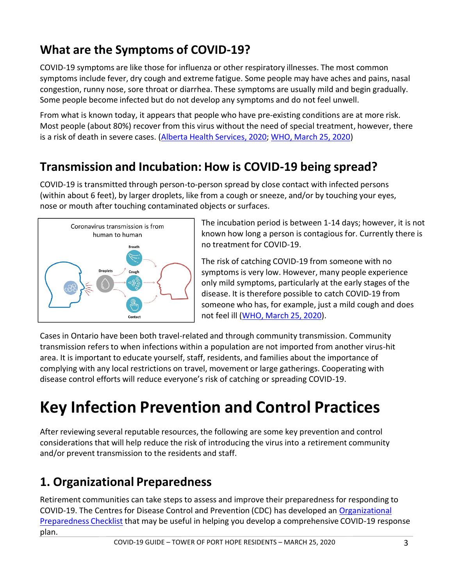## **What are the Symptoms of COVID‐19?**

COVID‐19 symptoms are like those for influenza or other respiratory illnesses. The most common symptoms include fever, dry cough and extreme fatigue. Some people may have aches and pains, nasal congestion, runny nose, sore throat or diarrhea. These symptoms are usually mild and begin gradually. Some people become infected but do not develop any symptoms and do not feel unwell.

From what is known today, it appears that people who have pre-existing conditions are at more risk. Most people (about 80%) recover from this virus without the need of special treatment, however, there is a risk of death in severe cases. (Alberta Health Services, 2020; WHO, March 25, 2020)

### **Transmission and Incubation: How is COVID‐19 being spread?**

COVID‐19 is transmitted through person‐to‐person spread by close contact with infected persons (within about 6 feet), by larger droplets, like from a cough or sneeze, and/or by touching your eyes, nose or mouth after touching contaminated objects or surfaces.



The incubation period is between 1‐14 days; however, it is not known how long a person is contagious for. Currently there is no treatment for COVID‐19.

The risk of catching COVID‐19 from someone with no symptoms is very low. However, many people experience only mild symptoms, particularly at the early stages of the disease. It is therefore possible to catch COVID‐19 from someone who has, for example, just a mild cough and does not feel ill (WHO, March 25, 2020).

Cases in Ontario have been both travel‐related and through community transmission. Community transmission refers to when infections within a population are not imported from another virus‐hit area. It is important to educate yourself, staff, residents, and families about the importance of complying with any local restrictions on travel, movement or large gatherings. Cooperating with disease control efforts will reduce everyone's risk of catching or spreading COVID‐19.

# **Key Infection Prevention and Control Practices**

After reviewing several reputable resources, the following are some key prevention and control considerations that will help reduce the risk of introducing the virus into a retirement community and/or prevent transmission to the residents and staff.

## **1. Organizational Preparedness**

Retirement communities can take steps to assess and improve their preparedness for responding to COVID‐19. The Centres for Disease Control and Prevention (CDC) has developed an Organizational Preparedness Checklist that may be useful in helping you develop a comprehensive COVID‐19 response plan.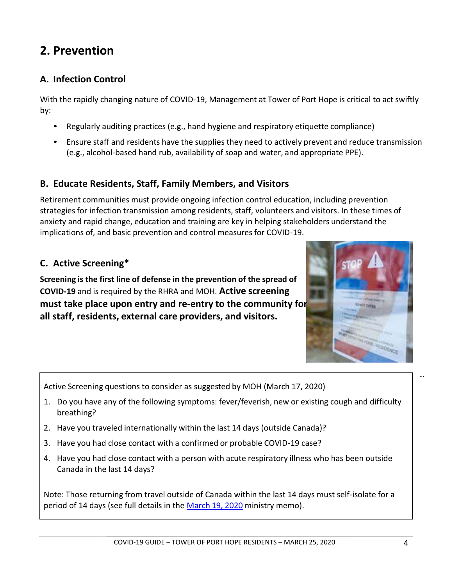### **2. Prevention**

### **A. Infection Control**

With the rapidly changing nature of COVID‐19, Management at Tower of Port Hope is critical to act swiftly by:

- Regularly auditing practices (e.g., hand hygiene and respiratory etiquette compliance)
- Ensure staff and residents have the supplies they need to actively prevent and reduce transmission (e.g., alcohol‐based hand rub, availability of soap and water, and appropriate PPE).

### **B. Educate Residents, Staff, Family Members, and Visitors**

Retirement communities must provide ongoing infection control education, including prevention strategies for infection transmission among residents, staff, volunteers and visitors. In these times of anxiety and rapid change, education and training are key in helping stakeholders understand the implications of, and basic prevention and control measures for COVID‐19.

### **C. Active Screening\***

**Screening is the first line of defense in the prevention of the spread of COVID‐19** and is required by the RHRA and MOH. **Active screening must take place upon entry and re‐entry to the community for all staff, residents, external care providers, and visitors.** 



Active Screening questions to consider as suggested by MOH (March 17, 2020)

- 1. Do you have any of the following symptoms: fever/feverish, new or existing cough and difficulty breathing?
- 2. Have you traveled internationally within the last 14 days (outside Canada)?
- 3. Have you had close contact with a confirmed or probable COVID-19 case?
- 4. Have you had close contact with a person with acute respiratory illness who has been outside Canada in the last 14 days?

Note: Those returning from travel outside of Canada within the last 14 days must self‐isolate for a period of 14 days (see full details in the March 19, 2020 ministry memo).

*…*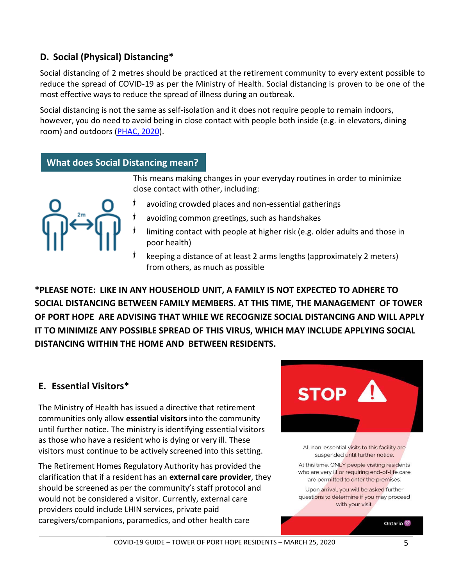### **D. Social (Physical) Distancing\***

Social distancing of 2 metres should be practiced at the retirement community to every extent possible to reduce the spread of COVID‐19 as per the Ministry of Health. Social distancing is proven to be one of the most effective ways to reduce the spread of illness during an outbreak.

Social distancing is not the same as self‐isolation and it does not require people to remain indoors, however, you do need to avoid being in close contact with people both inside (e.g. in elevators, dining room) and outdoors (PHAC, 2020).

### **What does Social Distancing mean?**

This means making changes in your everyday routines in order to minimize close contact with other, including:



- avoiding crowded places and non‐essential gatherings
- avoiding common greetings, such as handshakes
- limiting contact with people at higher risk (e.g. older adults and those in poor health)
- keeping a distance of at least 2 arms lengths (approximately 2 meters) from others, as much as possible

**\*PLEASE NOTE: LIKE IN ANY HOUSEHOLD UNIT, A FAMILY IS NOT EXPECTED TO ADHERE TO SOCIAL DISTANCING BETWEEN FAMILY MEMBERS. AT THIS TIME, THE MANAGEMENT OF TOWER OF PORT HOPE ARE ADVISING THAT WHILE WE RECOGNIZE SOCIAL DISTANCING AND WILL APPLY IT TO MINIMIZE ANY POSSIBLE SPREAD OF THIS VIRUS, WHICH MAY INCLUDE APPLYING SOCIAL DISTANCING WITHIN THE HOME AND BETWEEN RESIDENTS.** 

### **E. Essential Visitors\***

The Ministry of Health has issued a directive that retirement communities only allow **essential visitors** into the community until further notice. The ministry is identifying essential visitors as those who have a resident who is dying or very ill. These visitors must continue to be actively screened into this setting.

The Retirement Homes Regulatory Authority has provided the clarification that if a resident has an **external care provider**, they should be screened as per the community's staff protocol and would not be considered a visitor. Currently, external care providers could include LHIN services, private paid caregivers/companions, paramedics, and other health care



All non-essential visits to this facility are suspended until further notice.

At this time, ONLY people visiting residents who are very ill or requiring end-of-life care are permitted to enter the premises.

Upon arrival, you will be asked further questions to determine if you may proceed with your visit.

Ontario<sup>9</sup>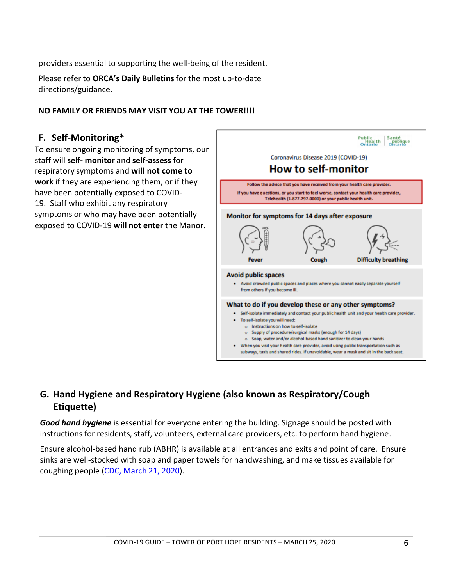providers essential to supporting the well‐being of the resident.

Please refer to **ORCA's Daily Bulletins** for the most up‐to‐date directions/guidance.

#### **NO FAMILY OR FRIENDS MAY VISIT YOU AT THE TOWER!!!!**

#### **F. Self‐Monitoring\***

To ensure ongoing monitoring of symptoms, our staff will **self‐ monitor** and **self‐assess** for respiratory symptoms and **will not come to work** if they are experiencing them, or if they have been potentially exposed to COVID‐ 19. Staff who exhibit any respiratory symptoms or who may have been potentially exposed to COVID‐19 **will not enter** the Manor.



### **G. Hand Hygiene and Respiratory Hygiene (also known as Respiratory/Cough Etiquette)**

*Good hand hygiene* is essential for everyone entering the building. Signage should be posted with instructions for residents, staff, volunteers, external care providers, etc. to perform hand hygiene.

Ensure alcohol‐based hand rub (ABHR) is available at all entrances and exits and point of care. Ensure sinks are well‐stocked with soap and paper towels for handwashing, and make tissues available for coughing people (CDC, March 21, 2020).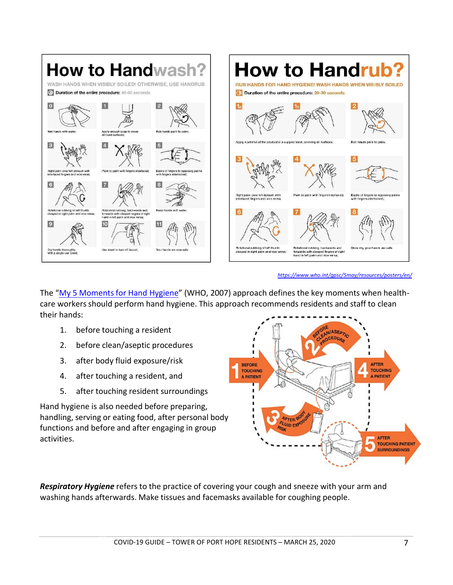

*https://www.who.int/gpsc/5may/resources/posters/en/*

The "My 5 Moments for Hand Hygiene" (WHO, 2007) approach defines the key moments when healthcare workers should perform hand hygiene. This approach recommends residents and staff to clean their hands:

- 1. before touching a resident
- 2. before clean/aseptic procedures
- 3. after body fluid exposure/risk
- 4. after touching a resident, and
- 5. after touching resident surroundings

Hand hygiene is also needed before preparing, handling, serving or eating food, after personal body functions and before and after engaging in group activities.



*Respiratory Hygiene* refers to the practice of covering your cough and sneeze with your arm and washing hands afterwards. Make tissues and facemasks available for coughing people.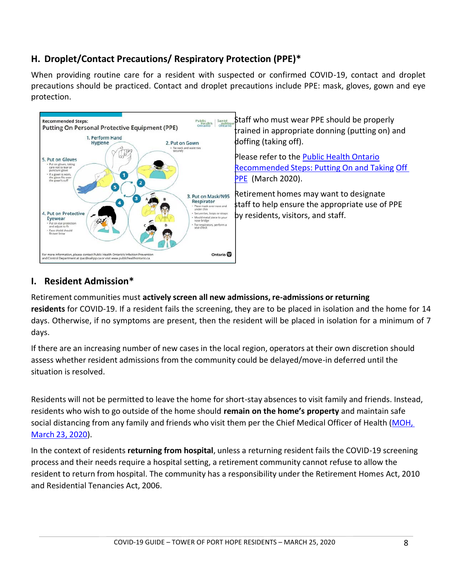### **H. Droplet/Contact Precautions/ Respiratory Protection (PPE)\***

When providing routine care for a resident with suspected or confirmed COVID-19, contact and droplet precautions should be practiced. Contact and droplet precautions include PPE: mask, gloves, gown and eye protection.



### **I. Resident Admission\***

Retirement communities must **actively screen all new admissions, re‐admissions or returning residents** for COVID‐19. If a resident fails the screening, they are to be placed in isolation and the home for 14 days. Otherwise, if no symptoms are present, then the resident will be placed in isolation for a minimum of 7 days.

If there are an increasing number of new cases in the local region, operators at their own discretion should assess whether resident admissions from the community could be delayed/move‐in deferred until the situation is resolved.

Residents will not be permitted to leave the home for short‐stay absences to visit family and friends. Instead, residents who wish to go outside of the home should **remain on the home's property** and maintain safe social distancing from any family and friends who visit them per the Chief Medical Officer of Health (MOH, March 23, 2020).

In the context of residents **returning from hospital**, unless a returning resident fails the COVID‐19 screening process and their needs require a hospital setting, a retirement community cannot refuse to allow the resident to return from hospital. The community has a responsibility under the Retirement Homes Act, 2010 and Residential Tenancies Act, 2006.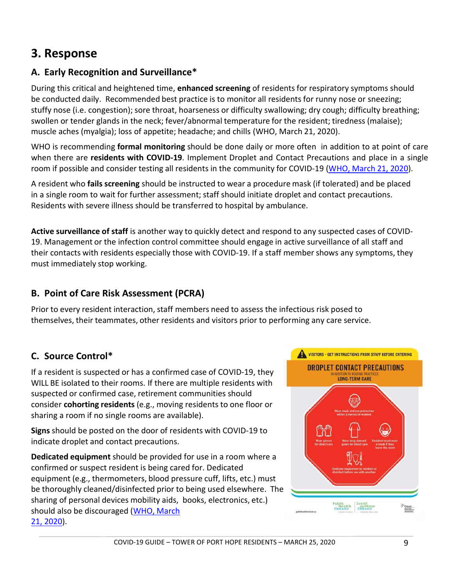### **3. Response**

### **A. Early Recognition and Surveillance\***

During this critical and heightened time, **enhanced screening** of residents for respiratory symptoms should be conducted daily. Recommended best practice is to monitor all residents for runny nose or sneezing; stuffy nose (i.e. congestion); sore throat, hoarseness or difficulty swallowing; dry cough; difficulty breathing; swollen or tender glands in the neck; fever/abnormal temperature for the resident; tiredness (malaise); muscle aches (myalgia); loss of appetite; headache; and chills (WHO, March 21, 2020).

WHO is recommending **formal monitoring** should be done daily or more often in addition to at point of care when there are **residents with COVID-19**. Implement Droplet and Contact Precautions and place in a single room if possible and consider testing all residents in the community for COVID‐19 (WHO, March 21, 2020).

A resident who **fails screening** should be instructed to wear a procedure mask (if tolerated) and be placed in a single room to wait for further assessment; staff should initiate droplet and contact precautions. Residents with severe illness should be transferred to hospital by ambulance.

**Active surveillance of staff** is another way to quickly detect and respond to any suspected cases of COVID‐ 19. Management or the infection control committee should engage in active surveillance of all staff and their contacts with residents especially those with COVID‐19. If a staff member shows any symptoms, they must immediately stop working.

### **B. Point of Care Risk Assessment (PCRA)**

Prior to every resident interaction, staff members need to assess the infectious risk posed to themselves, their teammates, other residents and visitors prior to performing any care service.

### **C. Source Control\***

If a resident is suspected or has a confirmed case of COVID‐19, they WILL BE isolated to their rooms. If there are multiple residents with suspected or confirmed case, retirement communities should consider **cohorting residents** (e.g., moving residents to one floor or sharing a room if no single rooms are available).

**Signs** should be posted on the door of residents with COVID‐19 to indicate droplet and contact precautions.

**Dedicated equipment** should be provided for use in a room where a confirmed or suspect resident is being cared for. Dedicated equipment (e.g., thermometers, blood pressure cuff, lifts, etc.) must be thoroughly cleaned/disinfected prior to being used elsewhere. The sharing of personal devices mobility aids, books, electronics, etc.) should also be discouraged (WHO, March 21, 2020).

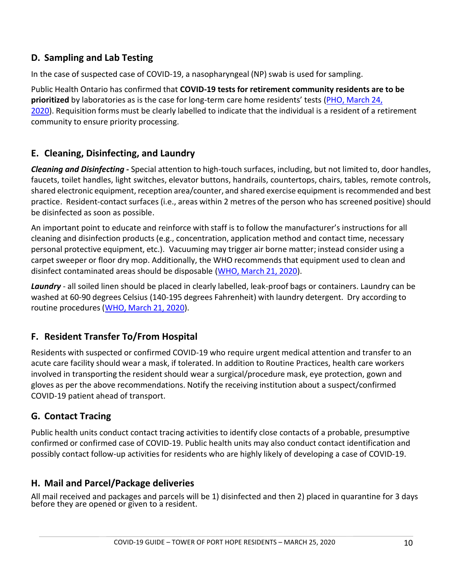### **D. Sampling and Lab Testing**

In the case of suspected case of COVID‐19, a nasopharyngeal (NP) swab is used for sampling.

Public Health Ontario has confirmed that **COVID‐19 tests for retirement community residents are to be prioritized** by laboratories as is the case for long‐term care home residents' tests (PHO, March 24, 2020). Requisition forms must be clearly labelled to indicate that the individual is a resident of a retirement community to ensure priority processing.

### **E. Cleaning, Disinfecting, and Laundry**

*Cleaning and Disinfecting ‐* Special attention to high‐touch surfaces, including, but not limited to, door handles, faucets, toilet handles, light switches, elevator buttons, handrails, countertops, chairs, tables, remote controls, shared electronic equipment, reception area/counter, and shared exercise equipment is recommended and best practice. Resident‐contact surfaces (i.e., areas within 2 metres of the person who has screened positive) should be disinfected as soon as possible.

An important point to educate and reinforce with staff is to follow the manufacturer's instructions for all cleaning and disinfection products (e.g., concentration, application method and contact time, necessary personal protective equipment, etc.). Vacuuming may trigger air borne matter; instead consider using a carpet sweeper or floor dry mop. Additionally, the WHO recommends that equipment used to clean and disinfect contaminated areas should be disposable (WHO, March 21, 2020).

*Laundry* ‐ all soiled linen should be placed in clearly labelled, leak‐proof bags or containers. Laundry can be washed at 60‐90 degrees Celsius (140‐195 degrees Fahrenheit) with laundry detergent. Dry according to routine procedures (WHO, March 21, 2020).

### **F. Resident Transfer To/From Hospital**

Residents with suspected or confirmed COVID‐19 who require urgent medical attention and transfer to an acute care facility should wear a mask, if tolerated. In addition to Routine Practices, health care workers involved in transporting the resident should wear a surgical/procedure mask, eye protection, gown and gloves as per the above recommendations. Notify the receiving institution about a suspect/confirmed COVID‐19 patient ahead of transport.

### **G. Contact Tracing**

Public health units conduct contact tracing activities to identify close contacts of a probable, presumptive confirmed or confirmed case of COVID‐19. Public health units may also conduct contact identification and possibly contact follow‐up activities for residents who are highly likely of developing a case of COVID‐19.

### **H. Mail and Parcel/Package deliveries**

All mail received and packages and parcels will be 1) disinfected and then 2) placed in quarantine for 3 days<br>before they are opened or given to a resident.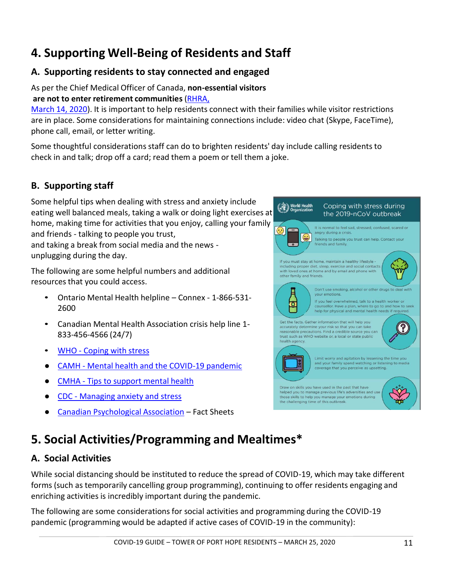## **4. Supporting Well‐Being of Residents and Staff**

### **A. Supporting residents to stay connected and engaged**

#### As per the Chief Medical Officer of Canada, **non‐essential visitors are not to enter retirement communities** (RHRA,

March 14, 2020). It is important to help residents connect with their families while visitor restrictions are in place. Some considerations for maintaining connections include: video chat (Skype, FaceTime), phone call, email, or letter writing.

Some thoughtful considerations staff can do to brighten residents' day include calling residents to check in and talk; drop off a card; read them a poem or tell them a joke.

### **B. Supporting staff**

Some helpful tips when dealing with stress and anxiety include eating well balanced meals, taking a walk or doing light exercises at home, making time for activities that you enjoy, calling your family and friends ‐ talking to people you trust, and taking a break from social media and the news ‐ unplugging during the day.

The following are some helpful numbers and additional resources that you could access.

- Ontario Mental Health helpline Connex 1-866-531-2600
- Canadian Mental Health Association crisis help line 1‐ 833‐456‐4566 (24/7)
- WHO Coping with stress
- CAMH Mental health and the COVID-19 pandemic
- **CMHA** Tips to support mental health
- CDC Managing anxiety and stress
- Canadian Psychological Association Fact Sheets

## **5. Social Activities/Programming and Mealtimes\***

### **A. Social Activities**

While social distancing should be instituted to reduce the spread of COVID-19, which may take different forms (such as temporarily cancelling group programming), continuing to offer residents engaging and enriching activities is incredibly important during the pandemic.

The following are some considerations for social activities and programming during the COVID‐19 pandemic (programming would be adapted if active cases of COVID‐19 in the community):



Coping with stress during the 2019-nCoV outbreak

World Health<br>Corganization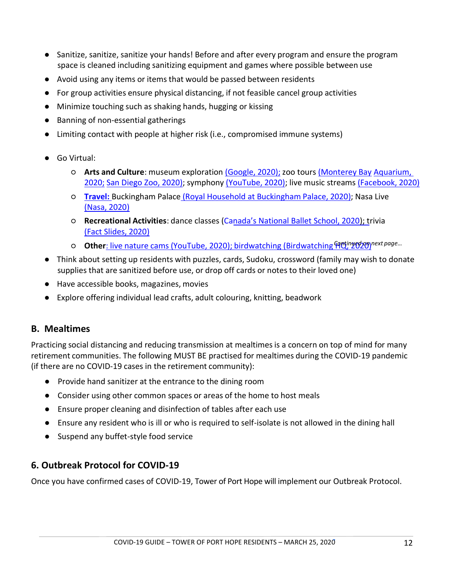- Sanitize, sanitize, sanitize your hands! Before and after every program and ensure the program space is cleaned including sanitizing equipment and games where possible between use
- Avoid using any items or items that would be passed between residents
- For group activities ensure physical distancing, if not feasible cancel group activities
- Minimize touching such as shaking hands, hugging or kissing
- Banning of non-essential gatherings
- Limiting contact with people at higher risk (i.e., compromised immune systems)
- Go Virtual:
	- **Arts and Culture**: museum exploration (Google, 2020); zoo tours (Monterey Bay Aquarium, 2020; San Diego Zoo, 2020); symphony (YouTube, 2020); live music streams (Facebook, 2020)
	- **Travel:** Buckingham Palace (Royal Household at Buckingham Palace, 2020); Nasa Live (Nasa, 2020)
	- **Recreational Activities**: dance classes (Canada's National Ballet School, 2020); trivia (Fact Slides, 2020)
	- o **Other**: live nature cams (YouTube, 2020); birdwatching (Birdwatching Prothry of the sage...
- Think about setting up residents with puzzles, cards, Sudoku, crossword (family may wish to donate supplies that are sanitized before use, or drop off cards or notes to their loved one)
- Have accessible books, magazines, movies
- Explore offering individual lead crafts, adult colouring, knitting, beadwork

### **B. Mealtimes**

Practicing social distancing and reducing transmission at mealtimes is a concern on top of mind for many retirement communities. The following MUST BE practised for mealtimes during the COVID‐19 pandemic (if there are no COVID‐19 cases in the retirement community):

- Provide hand sanitizer at the entrance to the dining room
- Consider using other common spaces or areas of the home to host meals
- Ensure proper cleaning and disinfection of tables after each use
- Ensure any resident who is ill or who is required to self-isolate is not allowed in the dining hall
- Suspend any buffet-style food service

### **6. Outbreak Protocol for COVID‐19**

Once you have confirmed cases of COVID‐19, Tower of Port Hope will implement our Outbreak Protocol.